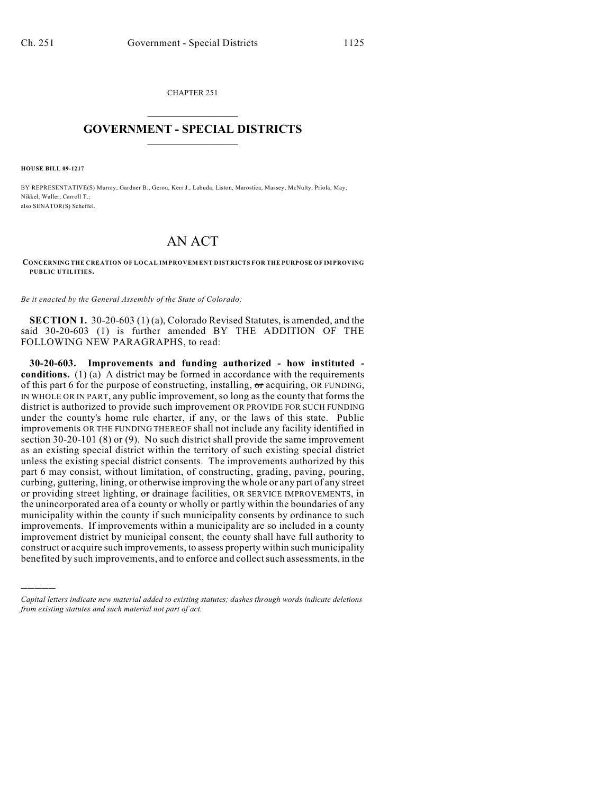CHAPTER 251  $\overline{\phantom{a}}$  . The set of the set of the set of the set of the set of the set of the set of the set of the set of the set of the set of the set of the set of the set of the set of the set of the set of the set of the set o

## **GOVERNMENT - SPECIAL DISTRICTS**  $\_$   $\_$

**HOUSE BILL 09-1217**

)))))

BY REPRESENTATIVE(S) Murray, Gardner B., Gerou, Kerr J., Labuda, Liston, Marostica, Massey, McNulty, Priola, May, Nikkel, Waller, Carroll T.; also SENATOR(S) Scheffel.

## AN ACT

**CONCERNING THE CREATION OF LOCAL IMPROVEMENT DISTRICTS FOR THE PURPOSE OF IMPROVING PUBLIC UTILITIES.**

*Be it enacted by the General Assembly of the State of Colorado:*

**SECTION 1.** 30-20-603 (1) (a), Colorado Revised Statutes, is amended, and the said 30-20-603 (1) is further amended BY THE ADDITION OF THE FOLLOWING NEW PARAGRAPHS, to read:

**30-20-603. Improvements and funding authorized - how instituted conditions.** (1) (a) A district may be formed in accordance with the requirements of this part 6 for the purpose of constructing, installing,  $\sigma$ r acquiring, OR FUNDING, IN WHOLE OR IN PART, any public improvement, so long as the county that forms the district is authorized to provide such improvement OR PROVIDE FOR SUCH FUNDING under the county's home rule charter, if any, or the laws of this state. Public improvements OR THE FUNDING THEREOF shall not include any facility identified in section 30-20-101 (8) or (9). No such district shall provide the same improvement as an existing special district within the territory of such existing special district unless the existing special district consents. The improvements authorized by this part 6 may consist, without limitation, of constructing, grading, paving, pouring, curbing, guttering, lining, or otherwise improving the whole or any part of any street or providing street lighting, or drainage facilities, OR SERVICE IMPROVEMENTS, in the unincorporated area of a county or wholly or partly within the boundaries of any municipality within the county if such municipality consents by ordinance to such improvements. If improvements within a municipality are so included in a county improvement district by municipal consent, the county shall have full authority to construct or acquire such improvements, to assess property within such municipality benefited by such improvements, and to enforce and collectsuch assessments, in the

*Capital letters indicate new material added to existing statutes; dashes through words indicate deletions from existing statutes and such material not part of act.*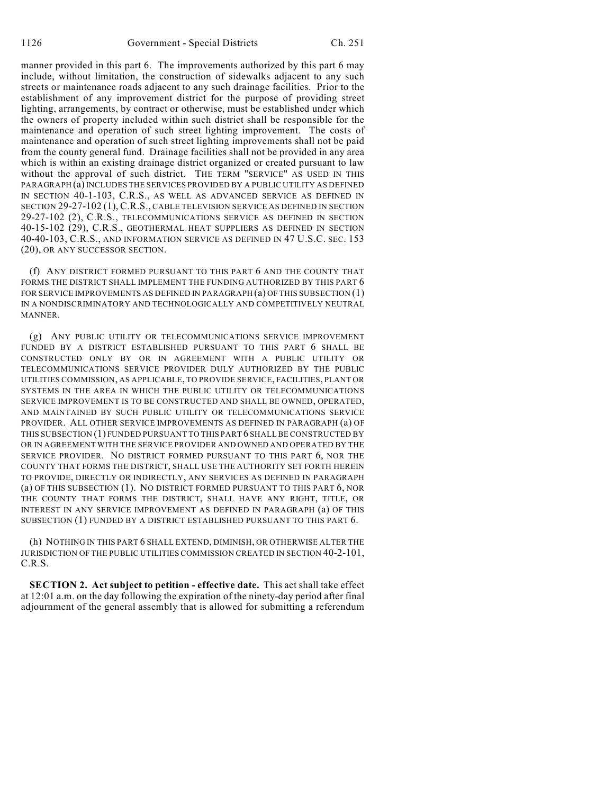manner provided in this part 6. The improvements authorized by this part 6 may include, without limitation, the construction of sidewalks adjacent to any such streets or maintenance roads adjacent to any such drainage facilities. Prior to the establishment of any improvement district for the purpose of providing street lighting, arrangements, by contract or otherwise, must be established under which the owners of property included within such district shall be responsible for the maintenance and operation of such street lighting improvement. The costs of maintenance and operation of such street lighting improvements shall not be paid from the county general fund. Drainage facilities shall not be provided in any area which is within an existing drainage district organized or created pursuant to law without the approval of such district. THE TERM "SERVICE" AS USED IN THIS PARAGRAPH (a) INCLUDES THE SERVICES PROVIDED BY A PUBLIC UTILITY AS DEFINED IN SECTION 40-1-103, C.R.S., AS WELL AS ADVANCED SERVICE AS DEFINED IN SECTION 29-27-102 (1), C.R.S., CABLE TELEVISION SERVICE AS DEFINED IN SECTION 29-27-102 (2), C.R.S., TELECOMMUNICATIONS SERVICE AS DEFINED IN SECTION 40-15-102 (29), C.R.S., GEOTHERMAL HEAT SUPPLIERS AS DEFINED IN SECTION 40-40-103, C.R.S., AND INFORMATION SERVICE AS DEFINED IN 47 U.S.C. SEC. 153 (20), OR ANY SUCCESSOR SECTION.

(f) ANY DISTRICT FORMED PURSUANT TO THIS PART 6 AND THE COUNTY THAT FORMS THE DISTRICT SHALL IMPLEMENT THE FUNDING AUTHORIZED BY THIS PART 6 FOR SERVICE IMPROVEMENTS AS DEFINED IN PARAGRAPH (a) OF THIS SUBSECTION (1) IN A NONDISCRIMINATORY AND TECHNOLOGICALLY AND COMPETITIVELY NEUTRAL MANNER.

(g) ANY PUBLIC UTILITY OR TELECOMMUNICATIONS SERVICE IMPROVEMENT FUNDED BY A DISTRICT ESTABLISHED PURSUANT TO THIS PART 6 SHALL BE CONSTRUCTED ONLY BY OR IN AGREEMENT WITH A PUBLIC UTILITY OR TELECOMMUNICATIONS SERVICE PROVIDER DULY AUTHORIZED BY THE PUBLIC UTILITIES COMMISSION, AS APPLICABLE, TO PROVIDE SERVICE, FACILITIES, PLANT OR SYSTEMS IN THE AREA IN WHICH THE PUBLIC UTILITY OR TELECOMMUNICATIONS SERVICE IMPROVEMENT IS TO BE CONSTRUCTED AND SHALL BE OWNED, OPERATED, AND MAINTAINED BY SUCH PUBLIC UTILITY OR TELECOMMUNICATIONS SERVICE PROVIDER. ALL OTHER SERVICE IMPROVEMENTS AS DEFINED IN PARAGRAPH (a) OF THIS SUBSECTION (1) FUNDED PURSUANT TO THIS PART 6 SHALLBE CONSTRUCTED BY OR IN AGREEMENT WITH THE SERVICE PROVIDER AND OWNED AND OPERATED BY THE SERVICE PROVIDER. NO DISTRICT FORMED PURSUANT TO THIS PART 6, NOR THE COUNTY THAT FORMS THE DISTRICT, SHALL USE THE AUTHORITY SET FORTH HEREIN TO PROVIDE, DIRECTLY OR INDIRECTLY, ANY SERVICES AS DEFINED IN PARAGRAPH (a) OF THIS SUBSECTION (1). NO DISTRICT FORMED PURSUANT TO THIS PART 6, NOR THE COUNTY THAT FORMS THE DISTRICT, SHALL HAVE ANY RIGHT, TITLE, OR INTEREST IN ANY SERVICE IMPROVEMENT AS DEFINED IN PARAGRAPH (a) OF THIS SUBSECTION (1) FUNDED BY A DISTRICT ESTABLISHED PURSUANT TO THIS PART 6.

(h) NOTHING IN THIS PART 6 SHALL EXTEND, DIMINISH, OR OTHERWISE ALTER THE JURISDICTION OF THE PUBLIC UTILITIES COMMISSION CREATED IN SECTION 40-2-101, C.R.S.

**SECTION 2. Act subject to petition - effective date.** This act shall take effect at 12:01 a.m. on the day following the expiration of the ninety-day period after final adjournment of the general assembly that is allowed for submitting a referendum